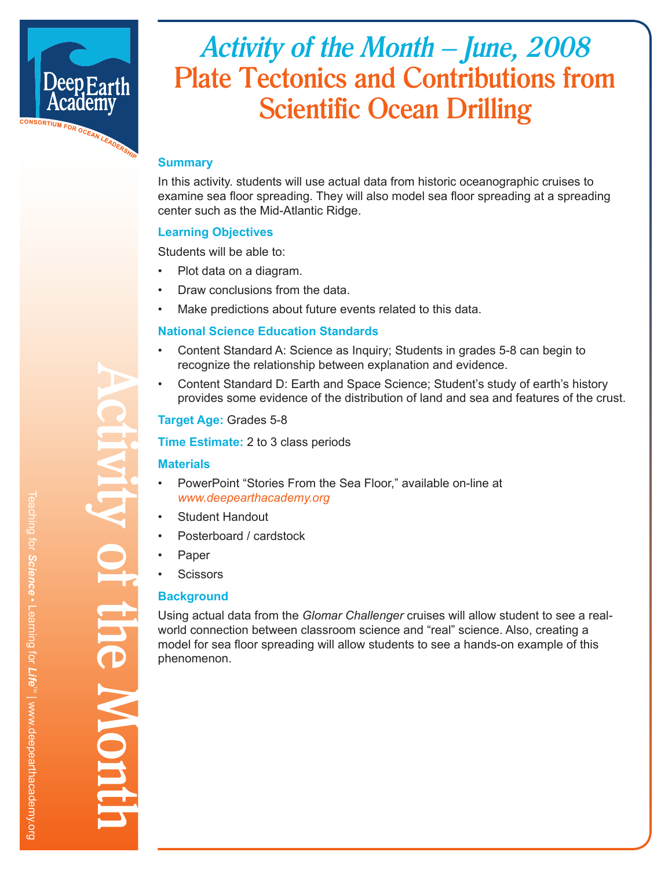

# *Activity of the Month – June, 2008* **Plate Tectonics and Contributions from Scientific Ocean Drilling**

# **Summary**

In this activity. students will use actual data from historic oceanographic cruises to examine sea floor spreading. They will also model sea floor spreading at a spreading center such as the Mid-Atlantic Ridge.

## **Learning Objectives**

Students will be able to:

- Plot data on a diagram.
- Draw conclusions from the data.
- Make predictions about future events related to this data.

## **National Science Education Standards**

- Content Standard A: Science as Inquiry; Students in grades 5-8 can begin to recognize the relationship between explanation and evidence.
- Content Standard D: Earth and Space Science; Student's study of earth's history provides some evidence of the distribution of land and sea and features of the crust.

## **Target Age:** Grades 5-8

**Time Estimate:** 2 to 3 class periods

## **Materials**

- PowerPoint "Stories From the Sea Floor," available on-line at *www.deepearthacademy.org*
- Student Handout
- Posterboard / cardstock
- **Paper**

**Activity of the Month**

**TOT the MON** 

**Scissors** 

## **Background**

Using actual data from the *Glomar Challenger* cruises will allow student to see a realworld connection between classroom science and "real" science. Also, creating a model for sea floor spreading will allow students to see a hands-on example of this phenomenon.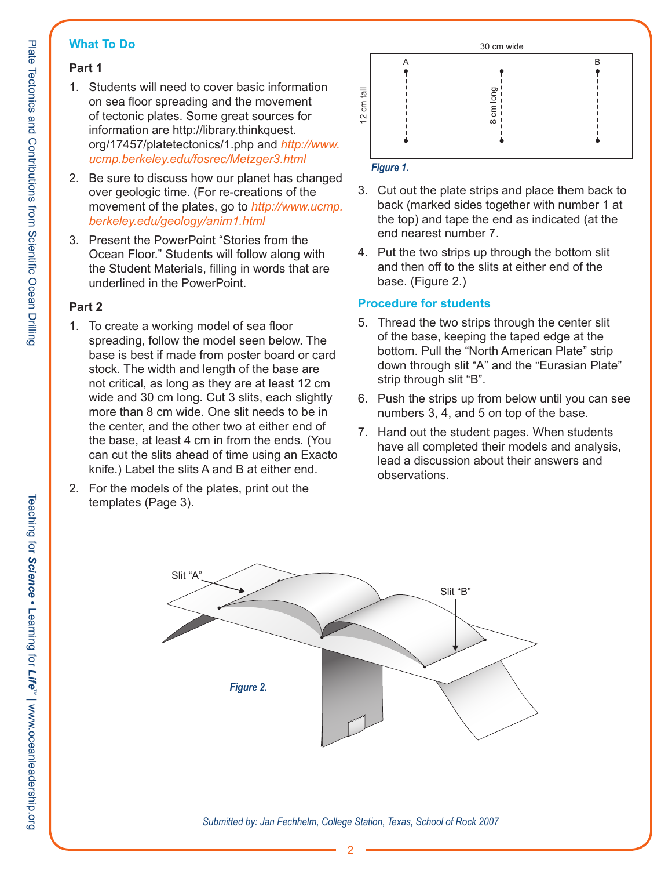## **What To Do**

# **Part 1**

- 1. Students will need to cover basic information on sea floor spreading and the movement of tectonic plates. Some great sources for information are http://library.thinkquest. org/17457/platetectonics/1.php and *http://www. ucmp.berkeley.edu/fosrec/Metzger3.html*
- 2. Be sure to discuss how our planet has changed over geologic time. (For re-creations of the movement of the plates, go to *http://www.ucmp. berkeley.edu/geology/anim1.html*
- 3. Present the PowerPoint "Stories from the Ocean Floor." Students will follow along with the Student Materials, filling in words that are underlined in the PowerPoint.

## **Part 2**

- 1. To create a working model of sea floor spreading, follow the model seen below. The base is best if made from poster board or card stock. The width and length of the base are not critical, as long as they are at least 12 cm wide and 30 cm long. Cut 3 slits, each slightly more than 8 cm wide. One slit needs to be in the center, and the other two at either end of the base, at least 4 cm in from the ends. (You can cut the slits ahead of time using an Exacto knife.) Label the slits A and B at either end.
- 2. For the models of the plates, print out the templates (Page 3).



# *Figure 1.*

- 3. Cut out the plate strips and place them back to back (marked sides together with number 1 at the top) and tape the end as indicated (at the end nearest number 7.
- 4. Put the two strips up through the bottom slit and then off to the slits at either end of the base. (Figure 2.)

## **Procedure for students**

- 5. Thread the two strips through the center slit of the base, keeping the taped edge at the bottom. Pull the "North American Plate" strip down through slit "A" and the "Eurasian Plate" strip through slit "B".
- 6. Push the strips up from below until you can see numbers 3, 4, and 5 on top of the base.
- 7. Hand out the student pages. When students have all completed their models and analysis, lead a discussion about their answers and observations.



*Submitted by: Jan Fechhelm, College Station, Texas, School of Rock 2007*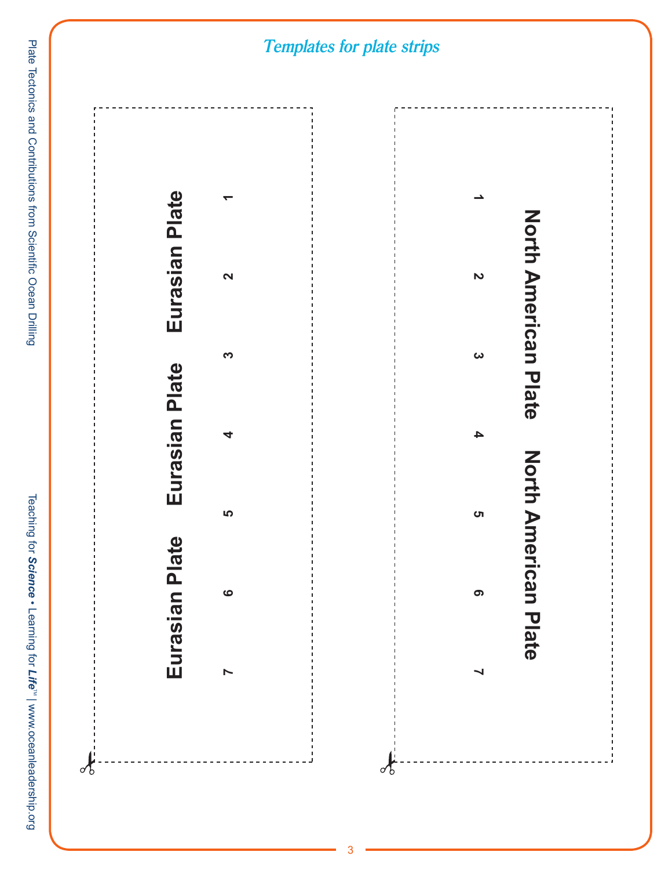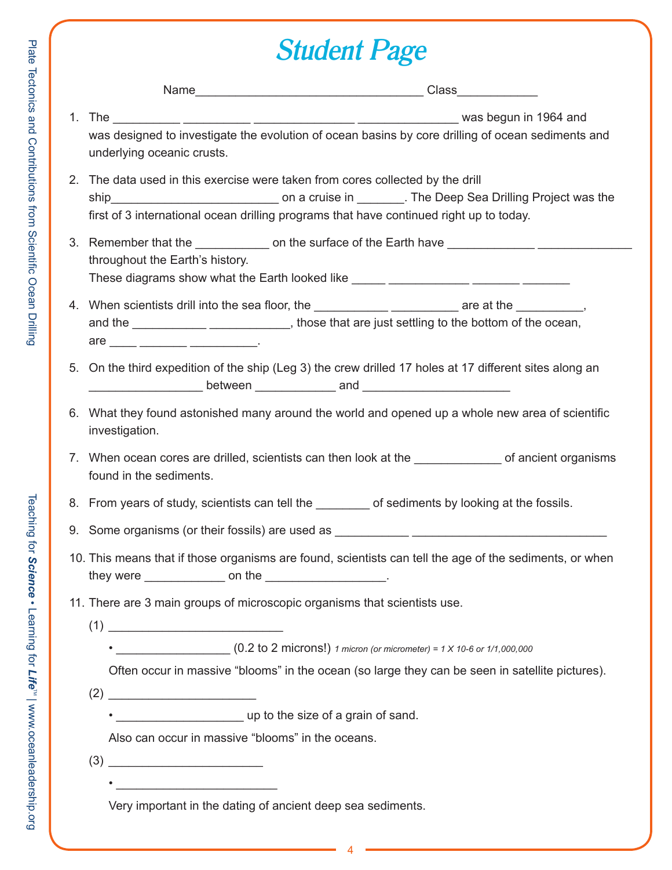# *Student Page*

| was designed to investigate the evolution of ocean basins by core drilling of ocean sediments and<br>underlying oceanic crusts.                                                                                                                              |                                                                                                         |  |
|--------------------------------------------------------------------------------------------------------------------------------------------------------------------------------------------------------------------------------------------------------------|---------------------------------------------------------------------------------------------------------|--|
| 2. The data used in this exercise were taken from cores collected by the drill<br>first of 3 international ocean drilling programs that have continued right up to today.                                                                                    |                                                                                                         |  |
| 3. Remember that the _______________ on the surface of the Earth have ______________________________<br>throughout the Earth's history.<br>These diagrams show what the Earth looked like ______ ____________ _______ ______                                 |                                                                                                         |  |
| 4. When scientists drill into the sea floor, the _______________________________ are at the _____________,<br>and the ________________________________, those that are just settling to the bottom of the ocean,<br>$\text{are }$ _____ ________ __________. |                                                                                                         |  |
| 5. On the third expedition of the ship (Leg 3) the crew drilled 17 holes at 17 different sites along an                                                                                                                                                      |                                                                                                         |  |
| 6. What they found astonished many around the world and opened up a whole new area of scientific<br>investigation.                                                                                                                                           |                                                                                                         |  |
| 7. When ocean cores are drilled, scientists can then look at the _______________ of ancient organisms<br>found in the sediments.                                                                                                                             |                                                                                                         |  |
| 8. From years of study, scientists can tell the ________ of sediments by looking at the fossils.                                                                                                                                                             |                                                                                                         |  |
|                                                                                                                                                                                                                                                              |                                                                                                         |  |
| they were $\frac{1}{1}$ on the $\frac{1}{1}$ on the $\frac{1}{1}$ .                                                                                                                                                                                          | 10. This means that if those organisms are found, scientists can tell the age of the sediments, or when |  |
| 11. There are 3 main groups of microscopic organisms that scientists use.                                                                                                                                                                                    |                                                                                                         |  |
|                                                                                                                                                                                                                                                              |                                                                                                         |  |
|                                                                                                                                                                                                                                                              | Often occur in massive "blooms" in the ocean (so large they can be seen in satellite pictures).         |  |
|                                                                                                                                                                                                                                                              |                                                                                                         |  |
|                                                                                                                                                                                                                                                              |                                                                                                         |  |
| Also can occur in massive "blooms" in the oceans.                                                                                                                                                                                                            |                                                                                                         |  |
|                                                                                                                                                                                                                                                              |                                                                                                         |  |

4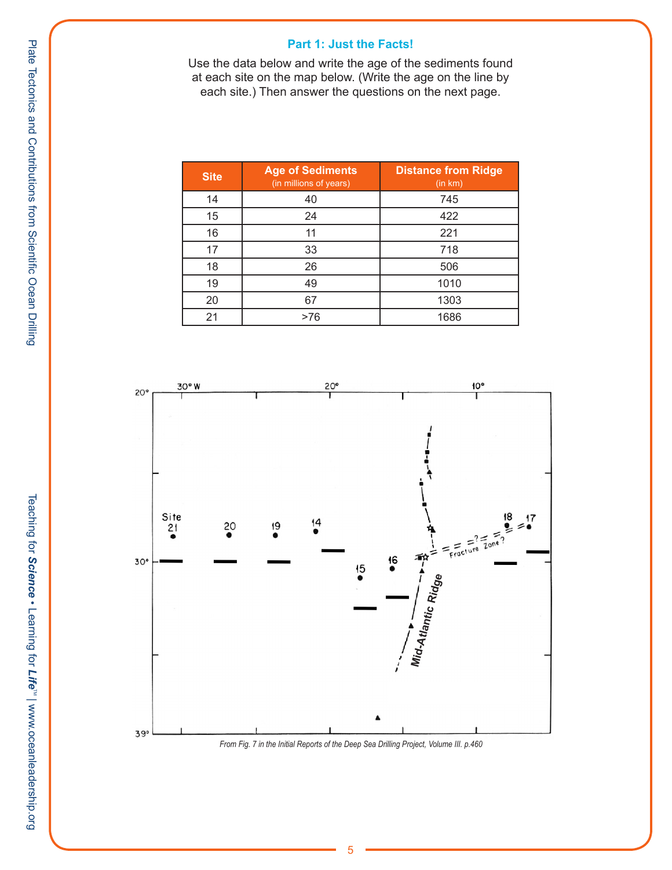#### **Part 1: Just the Facts!**

Use the data below and write the age of the sediments found at each site on the map below. (Write the age on the line by each site.) Then answer the questions on the next page.

| <b>Site</b> | <b>Age of Sediments</b><br>(in millions of years) | <b>Distance from Ridge</b><br>(in km) |
|-------------|---------------------------------------------------|---------------------------------------|
| 14          | 40                                                | 745                                   |
| 15          | 24                                                | 422                                   |
| 16          | 11                                                | 221                                   |
| 17          | 33                                                | 718                                   |
| 18          | 26                                                | 506                                   |
| 19          | 49                                                | 1010                                  |
| 20          | 67                                                | 1303                                  |
| 21          | >76                                               | 1686                                  |